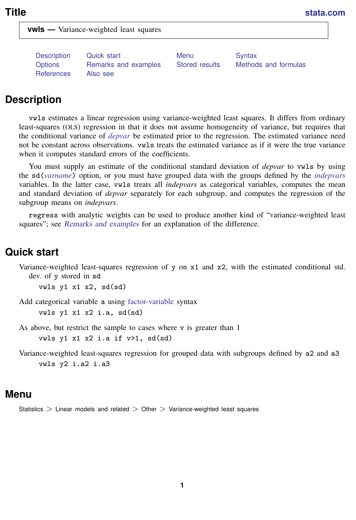<span id="page-0-3"></span>**vwls —** Variance-weighted least squares

[Description](#page-0-0) [Quick start](#page-0-1) [Menu](#page-0-2) [Syntax](#page-1-0) [Options](#page-1-1) [Remarks and examples](#page-2-0) [Stored results](#page-5-0) [Methods and formulas](#page-5-1) [References](#page-6-0) [Also see](#page-6-1)

## <span id="page-0-0"></span>**Description**

vwls estimates a linear regression using variance-weighted least squares. It differs from ordinary least-squares (OLS) regression in that it does not assume homogeneity of variance, but requires that the conditional variance of *[depvar](https://www.stata.com/manuals/u11.pdf#u11.4varnameandvarlists)* be estimated prior to the regression. The estimated variance need not be constant across observations. vwls treats the estimated variance as if it were the true variance when it computes standard errors of the coefficients.

You must supply an estimate of the conditional standard deviation of *depvar* to vwls by using the sd(*[varname](https://www.stata.com/manuals/u11.pdf#u11.4varnameandvarlists)*) option, or you must have grouped data with the groups defined by the *[indepvars](https://www.stata.com/manuals/u11.pdf#u11.4varnameandvarlists)* variables. In the latter case, vwls treats all *indepvars* as categorical variables, computes the mean and standard deviation of *depvar* separately for each subgroup, and computes the regression of the subgroup means on *indepvars*.

<span id="page-0-1"></span>regress with analytic weights can be used to produce another kind of "variance-weighted least squares"; see [Remarks and examples](#page-2-0) for an explanation of the difference.

## **Quick start**

Variance-weighted least-squares regression of y on x1 and x2, with the estimated conditional std. dev. of y stored in sd

vwls  $y1$   $x1$   $x2$ ,  $sd(sd)$ 

Add categorical variable a using [factor-variable](https://www.stata.com/manuals/u11.pdf#u11.4.3Factorvariables) syntax vwls y1 x1 x2 i.a, sd(sd)

As above, but restrict the sample to cases where  $\nu$  is greater than 1

vwls y1 x1 x2 i.a if  $v>1$ , sd(sd)

<span id="page-0-2"></span>Variance-weighted least-squares regression for grouped data with subgroups defined by a2 and a3 vwls y2 i.a2 i.a3

## **Menu**

Statistics  $>$  Linear models and related  $>$  Other  $>$  Variance-weighted least squares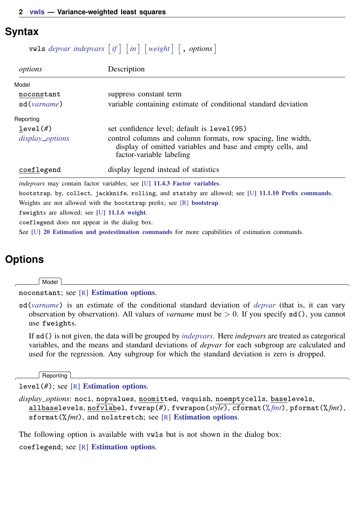### <span id="page-1-0"></span>**Syntax**

 $\mathsf{twls}\,\,\mathit{depvar}\,\,\mathit{indepvars}\,\,\mathit{if}\,\,\big|\,\,\mathit{in}\,\,\big|\,\mathit{weight}\,\,\big|\,\,\mathit{, options}\,\big|$  $\mathsf{twls}\,\,\mathit{depvar}\,\,\mathit{indepvars}\,\,\mathit{if}\,\,\big|\,\,\mathit{in}\,\,\big|\,\mathit{weight}\,\,\big|\,\,\mathit{, options}\,\big|$  $\mathsf{twls}\,\,\mathit{depvar}\,\,\mathit{indepvars}\,\,\mathit{if}\,\,\big|\,\,\mathit{in}\,\,\big|\,\mathit{weight}\,\,\big|\,\,\mathit{, options}\,\big|$  $\mathsf{twls}\,\,\mathit{depvar}\,\,\mathit{indepvars}\,\,\mathit{if}\,\,\big|\,\,\mathit{in}\,\,\big|\,\mathit{weight}\,\,\big|\,\,\mathit{, options}\,\big|$  $\mathsf{twls}\,\,\mathit{depvar}\,\,\mathit{indepvars}\,\,\mathit{if}\,\,\big|\,\,\mathit{in}\,\,\big|\,\mathit{weight}\,\,\big|\,\,\mathit{, options}\,\big|$  $\mathsf{twls}\,\,\mathit{depvar}\,\,\mathit{indepvars}\,\,\mathit{if}\,\,\big|\,\,\mathit{in}\,\,\big|\,\mathit{weight}\,\,\big|\,\,\mathit{, options}\,\big|$  $\mathsf{twls}\,\,\mathit{depvar}\,\,\mathit{indepvars}\,\,\mathit{if}\,\,\big|\,\,\mathit{in}\,\,\big|\,\mathit{weight}\,\,\big|\,\,\mathit{, options}\,\big|$  $\mathsf{twls}\,\,\mathit{depvar}\,\,\mathit{indepvars}\,\,\mathit{if}\,\,\big|\,\,\mathit{in}\,\,\big|\,\mathit{weight}\,\,\big|\,\,\mathit{, options}\,\big|$  $\mathsf{twls}\,\,\mathit{depvar}\,\,\mathit{indepvars}\,\,\mathit{if}\,\,\big|\,\,\mathit{in}\,\,\big|\,\mathit{weight}\,\,\big|\,\,\mathit{, options}\,\big|$  $\mathsf{twls}\,\,\mathit{depvar}\,\,\mathit{indepvars}\,\,\mathit{if}\,\,\big|\,\,\mathit{in}\,\,\big|\,\mathit{weight}\,\,\big|\,\,\mathit{, options}\,\big|$  $\mathsf{twls}\,\,\mathit{depvar}\,\,\mathit{indepvars}\,\,\mathit{if}\,\,\big|\,\,\mathit{in}\,\,\big|\,\mathit{weight}\,\,\big|\,\,\mathit{, options}\,\big|$ 

| options                                       | Description                                                                                                                                            |  |  |  |
|-----------------------------------------------|--------------------------------------------------------------------------------------------------------------------------------------------------------|--|--|--|
| Model                                         |                                                                                                                                                        |  |  |  |
| noconstant                                    | suppress constant term                                                                                                                                 |  |  |  |
| sd(varname)                                   | variable containing estimate of conditional standard deviation                                                                                         |  |  |  |
| Reporting                                     |                                                                                                                                                        |  |  |  |
| level(f)                                      | set confidence level; default is level (95)                                                                                                            |  |  |  |
| display_options                               | control columns and column formats, row spacing, line width,<br>display of omitted variables and base and empty cells, and<br>factor-variable labeling |  |  |  |
| coeflegend                                    | display legend instead of statistics                                                                                                                   |  |  |  |
|                                               | <i>indepvars</i> may contain factor variables; see [U] 11.4.3 Factor variables.                                                                        |  |  |  |
|                                               | bootstrap, by, collect, jackknife, rolling, and statsby are allowed; see [U] 11.1.10 Prefix commands.                                                  |  |  |  |
|                                               | Weights are not allowed with the bootstrap prefix; see [R] bootstrap.                                                                                  |  |  |  |
| fweights are allowed; see [U] 11.1.6 weight.  |                                                                                                                                                        |  |  |  |
| coeflegend does not appear in the dialog box. |                                                                                                                                                        |  |  |  |

<span id="page-1-2"></span><span id="page-1-1"></span>See [U[\] 20 Estimation and postestimation commands](https://www.stata.com/manuals/u20.pdf#u20Estimationandpostestimationcommands) for more capabilities of estimation commands.

# **Options**

 $\overline{a}$ 

 $\overline{a}$ 

[Model] Model **Note** that the contract of the contract of the contract of the contract of the contract of the contract of the contract of the contract of the contract of the contract of the contract of the contract of the contract

noconstant; see [R] [Estimation options](https://www.stata.com/manuals/restimationoptions.pdf#rEstimationoptions).

sd(*[varname](https://www.stata.com/manuals/u11.pdf#u11.4varnameandvarlists)*) is an estimate of the conditional standard deviation of *[depvar](https://www.stata.com/manuals/u11.pdf#u11.4varnameandvarlists)* (that is, it can vary observation by observation). All values of *varname* must be > 0. If you specify sd(), you cannot use fweights.

If sd() is not given, the data will be grouped by *[indepvars](https://www.stata.com/manuals/u11.pdf#u11.4varnameandvarlists)*. Here *indepvars* are treated as categorical variables, and the means and standard deviations of *depvar* for each subgroup are calculated and used for the regression. Any subgroup for which the standard deviation is zero is dropped.

Reporting [ Reporting Letters and the contract of the contract of the contract of the contract of the contract of the contract of the contract of the contract of the contract of the contract of the contract of the contract of the cont

level(*#*); see [R] [Estimation options](https://www.stata.com/manuals/restimationoptions.pdf#rEstimationoptions).

<span id="page-1-3"></span>*display options*: noci, nopvalues, noomitted, vsquish, noemptycells, baselevels, allbaselevels, nofvlabel, fvwrap(*#*), fvwrapon(*style*), cformat(% *[fmt](https://www.stata.com/manuals/d.pdf#dformat)*), pformat(% *fmt*), sformat(%fmt), and nolstretch; see [R] [Estimation options](https://www.stata.com/manuals/restimationoptions.pdf#rEstimationoptions).

The following option is available with vwls but is not shown in the dialog box: coeflegend; see [R] [Estimation options](https://www.stata.com/manuals/restimationoptions.pdf#rEstimationoptions).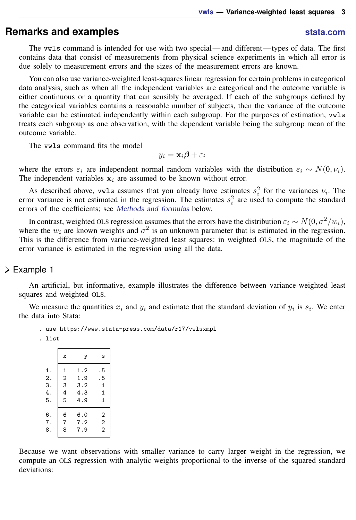## <span id="page-2-0"></span>**Remarks and examples stature and the stature of the stature of the stature of the stature of the stature of the stature of the stature of the stature of the stature of the stature of the stature of the stature of the st**

The vwls command is intended for use with two special—and different—types of data. The first contains data that consist of measurements from physical science experiments in which all error is due solely to measurement errors and the sizes of the measurement errors are known.

You can also use variance-weighted least-squares linear regression for certain problems in categorical data analysis, such as when all the independent variables are categorical and the outcome variable is either continuous or a quantity that can sensibly be averaged. If each of the subgroups defined by the categorical variables contains a reasonable number of subjects, then the variance of the outcome variable can be estimated independently within each subgroup. For the purposes of estimation, vwls treats each subgroup as one observation, with the dependent variable being the subgroup mean of the outcome variable.

The vwls command fits the model

$$
y_i = \mathbf{x}_i \boldsymbol{\beta} + \varepsilon_i
$$

where the errors  $\varepsilon_i$  are independent normal random variables with the distribution  $\varepsilon_i \sim N(0, \nu_i)$ . The independent variables  $x_i$  are assumed to be known without error.

As described above, vwls assumes that you already have estimates  $s_i^2$  for the variances  $\nu_i$ . The error variance is not estimated in the regression. The estimates  $s_i^2$  are used to compute the standard errors of the coefficients; see [Methods and formulas](#page-5-1) below.

In contrast, weighted OLS regression assumes that the errors have the distribution  $\varepsilon_i \sim N(0, \sigma^2/w_i)$ , where the  $w_i$  are known weights and  $\sigma^2$  is an unknown parameter that is estimated in the regression. This is the difference from variance-weighted least squares: in weighted OLS, the magnitude of the error variance is estimated in the regression using all the data.

### Example 1

An artificial, but informative, example illustrates the difference between variance-weighted least squares and weighted OLS.

We measure the quantities  $x_i$  and  $y_i$  and estimate that the standard deviation of  $y_i$  is  $s_i$ . We enter the data into Stata:

. use https://www.stata-press.com/data/r17/vwlsxmpl

. list

|    | X                | у   | S              |
|----|------------------|-----|----------------|
| 1. | 1                | 1.2 | . 5            |
| 2. | $\boldsymbol{2}$ | 1.9 | . 5            |
| 3. | 3                | 3.2 | $\mathbf 1$    |
| 4. | 4                | 4.3 | $\mathbf 1$    |
| 5. | 5                | 4.9 | $\mathbf 1$    |
| 6. | 6                | 6.0 | 2              |
| 7. | $\overline{7}$   | 7.2 | $\overline{2}$ |
| 8. | 8                | 7.9 | $\overline{2}$ |

Because we want observations with smaller variance to carry larger weight in the regression, we compute an OLS regression with analytic weights proportional to the inverse of the squared standard deviations: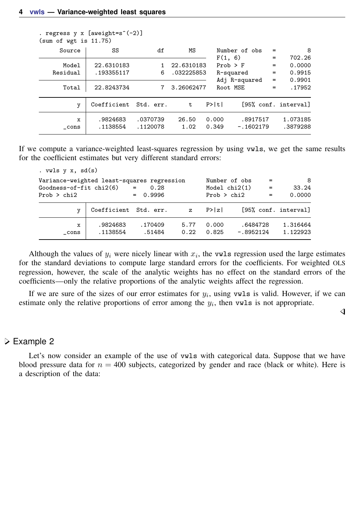| . regress $y \times$ [aweight=s^(-2)]<br>(sum of wgt is 11.75) |                          |                      |                          |                |                           |                          |                                      |
|----------------------------------------------------------------|--------------------------|----------------------|--------------------------|----------------|---------------------------|--------------------------|--------------------------------------|
| Source                                                         | SS                       | df                   | ΜS                       |                | Number of obs             | $=$                      | 8                                    |
| Model<br>Residual                                              | 22.6310183<br>.193355117 | 6                    | 22.6310183<br>.032225853 | F(1, 6)        | $Prob$ > $F$<br>R-squared | $=$<br>$=$<br>$=$<br>$=$ | 702.26<br>0.0000<br>0.9915<br>0.9901 |
| Total                                                          | 22.8243734               |                      | 3.26062477               |                | Adj R-squared<br>Root MSE | $=$                      | .17952                               |
| y                                                              | Coefficient Std. err.    |                      | $-t$                     | P>  t          |                           |                          | [95% conf. interval]                 |
| x<br>cons                                                      | .9824683<br>.1138554     | .0370739<br>.1120078 | 26.50<br>1.02            | 0.000<br>0.349 | .8917517<br>$-.1602179$   |                          | 1.073185<br>.3879288                 |

If we compute a variance-weighted least-squares regression by using vwls, we get the same results for the coefficient estimates but very different standard errors:

| . $vuls y x, sd(s)$                        |                       |                   |              |                |                         |     |                      |
|--------------------------------------------|-----------------------|-------------------|--------------|----------------|-------------------------|-----|----------------------|
| Variance-weighted least-squares regression |                       |                   |              |                | Number of obs           | - = | 8                    |
| Goodness-of-fit chi2(6)                    |                       | 0.28<br>$=$       |              |                | Model $chi2(1)$         | $=$ | 33.24                |
| Prob $>$ chi2                              |                       | $= 0.9996$        |              | Prob > chi2    |                         | $=$ | 0.0000               |
| v                                          | Coefficient Std. err. |                   | $\mathbf{z}$ | P >  z         |                         |     | [95% conf. interval] |
| x<br>cons                                  | .9824683<br>.1138554  | .170409<br>.51484 | 5.77<br>0.22 | 0.000<br>0.825 | .6484728<br>$-.8952124$ |     | 1.316464<br>1.122923 |
|                                            |                       |                   |              |                |                         |     |                      |

Although the values of  $y_i$  were nicely linear with  $x_i$ , the vwls regression used the large estimates for the standard deviations to compute large standard errors for the coefficients. For weighted OLS regression, however, the scale of the analytic weights has no effect on the standard errors of the coefficients—only the relative proportions of the analytic weights affect the regression.

If we are sure of the sizes of our error estimates for  $y_i$ , using vwls is valid. However, if we can estimate only the relative proportions of error among the  $y_i$ , then vwls is not appropriate.

◁

### **▷ Example 2**

Let's now consider an example of the use of  $vwls$  with categorical data. Suppose that we have blood pressure data for  $n = 400$  subjects, categorized by gender and race (black or white). Here is a description of the data: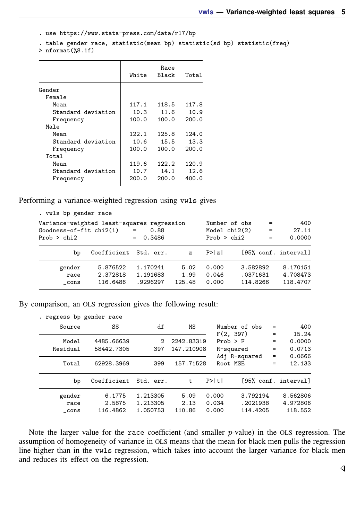```
. use https://www.stata-press.com/data/r17/bp
```
. table gender race, statistic(mean bp) statistic(sd bp) statistic(freq)

> nformat(%8.1f)

|                    | White | Race<br><b>Black</b> | Total |
|--------------------|-------|----------------------|-------|
| Gender             |       |                      |       |
| Female             |       |                      |       |
| Mean               | 117.1 | 118.5                | 117.8 |
| Standard deviation | 10.3  | 11.6                 | 10.9  |
| Frequency          | 100.0 | 100.0                | 200.0 |
| Male               |       |                      |       |
| Mean               | 122.1 | 125.8                | 124.0 |
| Standard deviation | 10.6  | 15.5                 | 13.3  |
| Frequency          | 100.0 | 100.0                | 200.0 |
| Total              |       |                      |       |
| Mean               | 119.6 | 122.2                | 120.9 |
| Standard deviation | 10.7  | 14.1                 | 12.6  |
| Frequency          | 200.0 | 200.0                | 400.0 |

Performing a variance-weighted regression using vwls gives

| . vwls bp gender race                      |                       |             |              |                 |          |          |                      |
|--------------------------------------------|-----------------------|-------------|--------------|-----------------|----------|----------|----------------------|
| Variance-weighted least-squares regression |                       |             |              | Number of obs   |          | $=$      | 400                  |
| $Goodness-of-fit chi2(1)$                  |                       | 0.88<br>$=$ |              | Model $chi2(2)$ |          | $\equiv$ | 27.11                |
| Prob > chi2                                |                       | $= 0.3486$  |              | Prob > chi2     |          | $=$      | 0.0000               |
| bp                                         | Coefficient Std. err. |             | $\mathbf{z}$ | P >  z          |          |          | [95% conf. interval] |
| gender                                     | 5.876522              | 1.170241    | 5.02         | 0.000           | 3.582892 |          | 8.170151             |
| race                                       | 2.372818              | 1.191683    | 1.99         | 0.046           | .0371631 |          | 4.708473             |
| cons                                       | 116.6486              | .9296297    | 125.48       | 0.000           | 114.8266 |          | 118.4707             |

By comparison, an OLS regression gives the following result:

| . regress bp gender race |                       |          |            |               |                      |          |
|--------------------------|-----------------------|----------|------------|---------------|----------------------|----------|
| Source                   | SS                    | df       | ΜS         | Number of obs | $=$                  | 400      |
|                          |                       |          |            | F(2, 397)     | $=$                  | 15.24    |
| Model                    | 4485.66639            | 2        | 2242.83319 | $Prob$ > $F$  | $=$                  | 0.0000   |
| Residual                 | 58442.7305            | 397      | 147.210908 | R-squared     | $=$                  | 0.0713   |
|                          |                       |          |            | Adj R-squared | $=$                  | 0.0666   |
| Total                    | 62928.3969            | 399      | 157.71528  | Root MSE      | $=$                  | 12.133   |
|                          |                       |          |            |               |                      |          |
| bp                       | Coefficient Std. err. |          | t          | P>  t         | [95% conf. interval] |          |
| gender                   | 6.1775                | 1.213305 | 5.09       | 0.000         | 3.792194             | 8.562806 |
| race                     | 2.5875                | 1.213305 | 2.13       | 0.034         | .2021938             | 4.972806 |
| cons                     | 116.4862              | 1.050753 | 110.86     | 0.000         | 114.4205             | 118.552  |
|                          |                       |          |            |               |                      |          |

Note the larger value for the race coefficient (and smaller  $p$ -value) in the OLS regression. The assumption of homogeneity of variance in OLS means that the mean for black men pulls the regression line higher than in the vwls regression, which takes into account the larger variance for black men and reduces its effect on the regression.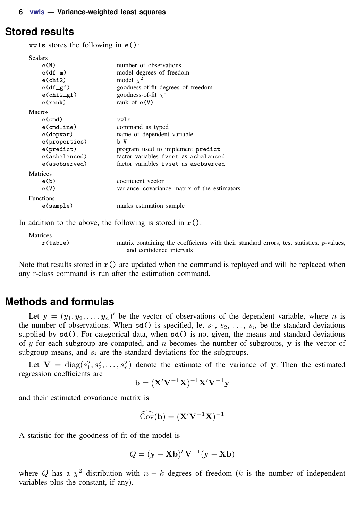### <span id="page-5-0"></span>**Stored results**

vwls stores the following in e():

| <b>Scalars</b>    |                                              |
|-------------------|----------------------------------------------|
| e(N)              | number of observations                       |
| $e(df_m)$         | model degrees of freedom                     |
| $e$ (chi $2$ )    | model $\chi^2$                               |
| $e(df_gf)$        | goodness-of-fit degrees of freedom           |
| $e$ (chi $2$ _gf) | goodness-of-fit $\chi^2$                     |
| e(rank)           | rank of $e(V)$                               |
| <b>Macros</b>     |                                              |
| $e$ (cmd)         | vwls                                         |
| $e$ (cmdline)     | command as typed                             |
| e(depvar)         | name of dependent variable                   |
| e(properties)     | b V                                          |
| e(predict)        | program used to implement predict            |
| e(asbalanced)     | factor variables fyset as asbalanced         |
| e(asobserved)     | factor variables fyset as a sobserved        |
| Matrices          |                                              |
| e(b)              | coefficient vector                           |
| e(V)              | variance–covariance matrix of the estimators |
| <b>Functions</b>  |                                              |
| e(sample)         | marks estimation sample                      |

In addition to the above, the following is stored in  $r()$ :

Matrices

r(table) matrix containing the coefficients with their standard errors, test statistics, p-values, and confidence intervals

<span id="page-5-1"></span>Note that results stored in  $r()$  are updated when the command is replayed and will be replaced when any r-class command is run after the estimation command.

## **Methods and formulas**

Let  $y = (y_1, y_2, \dots, y_n)'$  be the vector of observations of the dependent variable, where *n* is the number of observations. When sd() is specified, let  $s_1, s_2, \ldots, s_n$  be the standard deviations supplied by  $sd()$ . For categorical data, when  $sd()$  is not given, the means and standard deviations of y for each subgroup are computed, and n becomes the number of subgroups,  $y$  is the vector of subgroup means, and  $s_i$  are the standard deviations for the subgroups.

Let  $V = diag(s_1^2, s_2^2, \dots, s_n^2)$  denote the estimate of the variance of y. Then the estimated regression coefficients are

$$
\mathbf{b} = (\mathbf{X}'\mathbf{V}^{-1}\mathbf{X})^{-1}\mathbf{X}'\mathbf{V}^{-1}\mathbf{y}
$$

and their estimated covariance matrix is

$$
\widehat{\mathrm{Cov}}(\mathbf{b}) = (\mathbf{X}'\mathbf{V}^{-1}\mathbf{X})^{-1}
$$

A statistic for the goodness of fit of the model is

$$
Q = (\mathbf{y} - \mathbf{X}\mathbf{b})' \mathbf{V}^{-1}(\mathbf{y} - \mathbf{X}\mathbf{b})
$$

where Q has a  $\chi^2$  distribution with  $n - k$  degrees of freedom (k is the number of independent variables plus the constant, if any).